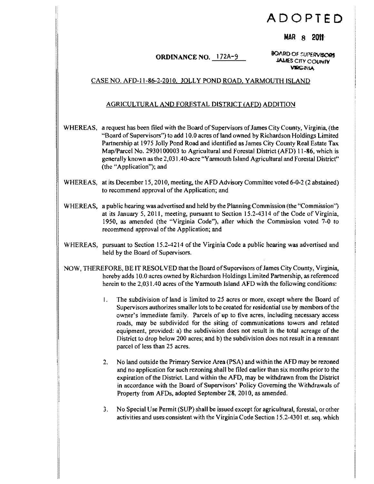# **ADOPTED**

## MAR 8 2011'

**ORDINANCE NO.** 172A-9 **BOARD OF SUPERVISORS** ~v.

### CASE NO. AFD-II-86-2-201O. JOLLY POND ROAD, YARMOUTH ISLAND

### AGRICULTURAL AND FORESTAL DISTRICT (AFD) ADDITION

- WHEREAS, a request has been filed with the Board of Supervisors of James City County, Virginia, (the "Board of Supervisors") to add 10.0 acres of land owned by Richardson Holdings Limited Partnership at 1975 Jolly Pond Road and identified as James City County Real Estate Tax Map/Parcel No. 2930100003 to Agricultural and Forestal District (AFD) 11-86, which is generally known as the 2,031 AO-acre "Yarmouth Island Agricultural and Forestal District" (the "Application"); and
- WHEREAS, at its December 15, 2010, meeting, the AFD Advisory Committee voted 6-0-2 (2 abstained) to recommend approval of the Application; and
- WHEREAS, a public hearing was advertised and held by the Planning Commission (the "Commission") at its January 5, 2011, meeting, pursuant to Section 15.2-4314 of the Code of Virginia, 1950, as amended (the "Virginia Code"), after which the Commission voted 7-0 to recommend approval of the Application; and
- WHEREAS, pursuant to Section 15.2-4214 of the Virginia Code a public hearing was advertised and held by the Board of Supervisors.
- NOW, THEREFORE, BE IT RESOLVED that the Board ofSupervisors ofJames City County, Virginia, hereby adds 10.0 acres owned by Richardson Holdings Limited Partnership, as referenced herein to the  $2,031.40$  acres of the Yarmouth Island AFD with the following conditions:
	- I. The subdivision of land is limited to 25 acres or more, except where the Board of Supervisors authorizes smaller lots to be created for residential use by members of the owner's immediate family. Parcels of up to five acres, including necessary access roads, may be subdivided for the siting of communications towers and related equipment, provided: a) the subdivision does not result in the total acreage of the District to drop below 200 acres; and b) the subdivision does not result in a remnant parcel of less than 25 acres.
	- 2. No land outside the Primary Service Area (PSA) and within the AFD may be rezoned and no application for such rezoning shall be filed earlier than six months prior to the expiration of the District Land within the AFD, may be withdrawn from the District in accordance with the Board of Supervisors' Policy Governing the Withdrawals of Property from AFDs, adopted September 28, 2010, as amended.
	- 3. No Special Use Permit (SUP) shall be issued except for agricultural, forestal, or other activities and uses consistent with the Virginia Code Section 15.2-4301 et. seq. which